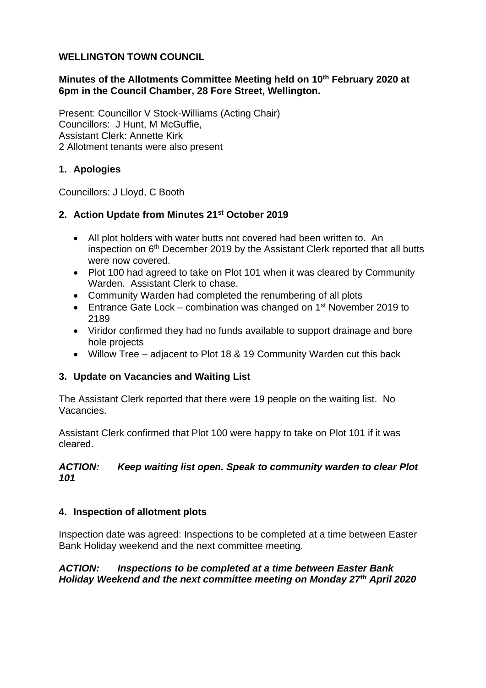### **WELLINGTON TOWN COUNCIL**

# **Minutes of the Allotments Committee Meeting held on 10th February 2020 at 6pm in the Council Chamber, 28 Fore Street, Wellington.**

Present: Councillor V Stock-Williams (Acting Chair) Councillors: J Hunt, M McGuffie, Assistant Clerk: Annette Kirk 2 Allotment tenants were also present

# **1. Apologies**

Councillors: J Lloyd, C Booth

# **2. Action Update from Minutes 21st October 2019**

- All plot holders with water butts not covered had been written to. An inspection on 6th December 2019 by the Assistant Clerk reported that all butts were now covered.
- Plot 100 had agreed to take on Plot 101 when it was cleared by Community Warden. Assistant Clerk to chase.
- Community Warden had completed the renumbering of all plots
- Entrance Gate Lock combination was changed on  $1<sup>st</sup>$  November 2019 to 2189
- Viridor confirmed they had no funds available to support drainage and bore hole projects
- Willow Tree adjacent to Plot 18 & 19 Community Warden cut this back

# **3. Update on Vacancies and Waiting List**

The Assistant Clerk reported that there were 19 people on the waiting list. No Vacancies.

Assistant Clerk confirmed that Plot 100 were happy to take on Plot 101 if it was cleared.

### *ACTION: Keep waiting list open. Speak to community warden to clear Plot 101*

# **4. Inspection of allotment plots**

Inspection date was agreed: Inspections to be completed at a time between Easter Bank Holiday weekend and the next committee meeting.

### *ACTION: Inspections to be completed at a time between Easter Bank Holiday Weekend and the next committee meeting on Monday 27th April 2020*